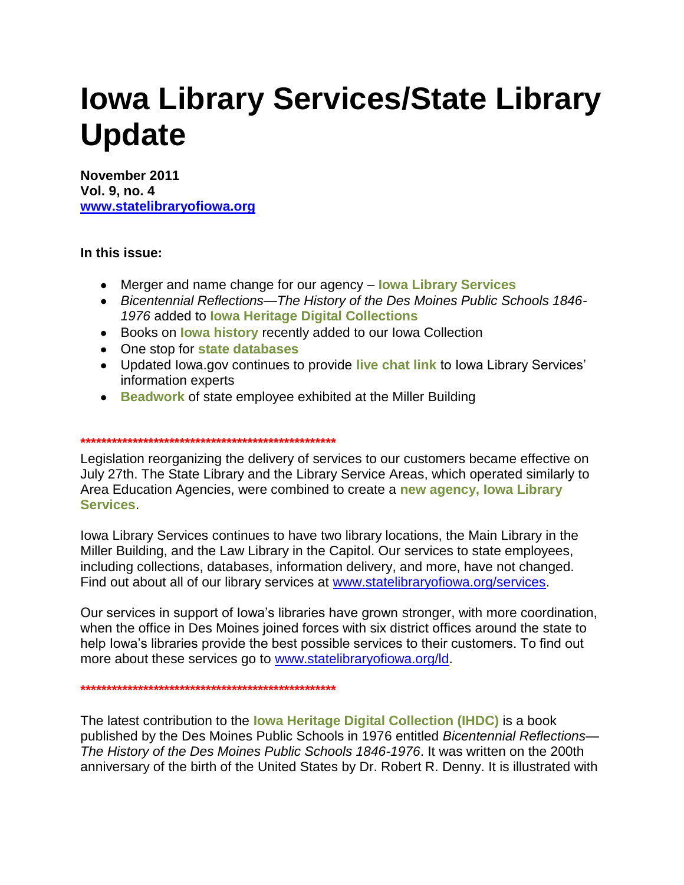# **Iowa Library Services/State Library Update**

**November 2011 Vol. 9, no. 4 [www.statelibraryofiowa.org](http://www.statelibraryofiowa.org/)**

# **In this issue:**

- Merger and name change for our agency **Iowa Library Services**
- *Bicentennial Reflections—The History of the Des Moines Public Schools 1846- 1976* added to **Iowa Heritage Digital Collections**
- Books on **Iowa history** recently added to our Iowa Collection
- One stop for **state databases**
- Updated Iowa.gov continues to provide **live chat link** to Iowa Library Services" information experts
- **Beadwork** of state employee exhibited at the Miller Building

#### **\*\*\*\*\*\*\*\*\*\*\*\*\*\*\*\*\*\*\*\*\*\*\*\*\*\*\*\*\*\*\*\*\*\*\*\*\*\*\*\*\*\*\*\*\*\*\*\*\***

Legislation reorganizing the delivery of services to our customers became effective on July 27th. The State Library and the Library Service Areas, which operated similarly to Area Education Agencies, were combined to create a **new agency, Iowa Library Services**.

Iowa Library Services continues to have two library locations, the Main Library in the Miller Building, and the Law Library in the Capitol. Our services to state employees, including collections, databases, information delivery, and more, have not changed. Find out about all of our library services at [www.statelibraryofiowa.org/services.](http://www.statelibraryofiowa.org/services)

Our services in support of Iowa"s libraries have grown stronger, with more coordination, when the office in Des Moines joined forces with six district offices around the state to help Iowa"s libraries provide the best possible services to their customers. To find out more about these services go to [www.statelibraryofiowa.org/ld.](http://www.statelibraryofiowa.org/ld)

**\*\*\*\*\*\*\*\*\*\*\*\*\*\*\*\*\*\*\*\*\*\*\*\*\*\*\*\*\*\*\*\*\*\*\*\*\*\*\*\*\*\*\*\*\*\*\*\*\***

The latest contribution to the **Iowa Heritage Digital Collection (IHDC)** is a book published by the Des Moines Public Schools in 1976 entitled *Bicentennial Reflections— The History of the Des Moines Public Schools 1846-1976*. It was written on the 200th anniversary of the birth of the United States by Dr. Robert R. Denny. It is illustrated with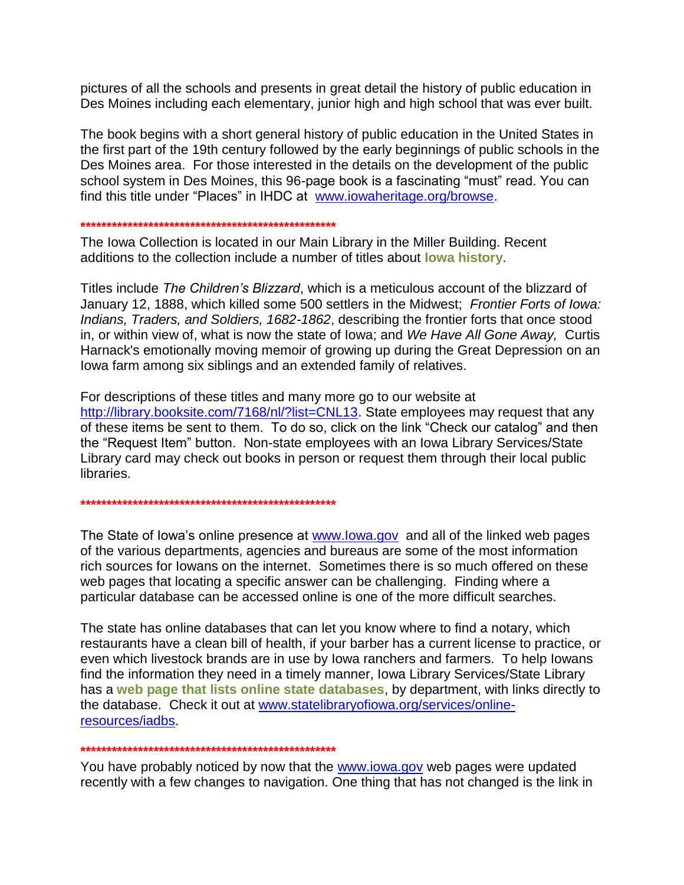pictures of all the schools and presents in great detail the history of public education in Des Moines including each elementary, junior high and high school that was ever built.

The book begins with a short general history of public education in the United States in the first part of the 19th century followed by the early beginnings of public schools in the Des Moines area. For those interested in the details on the development of the public school system in Des Moines, this 96-page book is a fascinating "must" read. You can find this title under "Places" in IHDC at [www.iowaheritage.org/browse.](http://www.iowaheritage.org/browse)

# **\*\*\*\*\*\*\*\*\*\*\*\*\*\*\*\*\*\*\*\*\*\*\*\*\*\*\*\*\*\*\*\*\*\*\*\*\*\*\*\*\*\*\*\*\*\*\*\*\***

The Iowa Collection is located in our Main Library in the Miller Building. Recent additions to the collection include a number of titles about **Iowa history**.

Titles include *The Children's Blizzard*, which is a meticulous account of the blizzard of January 12, 1888, which killed some 500 settlers in the Midwest; *Frontier Forts of Iowa: Indians, Traders, and Soldiers, 1682-1862*, describing the frontier forts that once stood in, or within view of, what is now the state of Iowa; and *We Have All Gone Away,* Curtis Harnack's emotionally moving memoir of growing up during the Great Depression on an Iowa farm among six siblings and an extended family of relatives.

For descriptions of these titles and many more go to our website at [http://library.booksite.com/7168/nl/?list=CNL13.](http://library.booksite.com/7168/nl/?list=CNL13) State employees may request that any of these items be sent to them. To do so, click on the link "Check our catalog" and then the "Request Item" button. Non-state employees with an Iowa Library Services/State Library card may check out books in person or request them through their local public libraries.

**\*\*\*\*\*\*\*\*\*\*\*\*\*\*\*\*\*\*\*\*\*\*\*\*\*\*\*\*\*\*\*\*\*\*\*\*\*\*\*\*\*\*\*\*\*\*\*\*\***

The State of Iowa's online presence at [www.Iowa.gov](http://www.iowa.gov/) and all of the linked web pages of the various departments, agencies and bureaus are some of the most information rich sources for Iowans on the internet. Sometimes there is so much offered on these web pages that locating a specific answer can be challenging. Finding where a particular database can be accessed online is one of the more difficult searches.

The state has online databases that can let you know where to find a notary, which restaurants have a clean bill of health, if your barber has a current license to practice, or even which livestock brands are in use by Iowa ranchers and farmers. To help Iowans find the information they need in a timely manner, Iowa Library Services/State Library has a **web page that lists online state databases**, by department, with links directly to the database. Check it out at [www.statelibraryofiowa.org/services/online](http://www.statelibraryofiowa.org/services/online-resources/iadbs)[resources/iadbs.](http://www.statelibraryofiowa.org/services/online-resources/iadbs)

#### **\*\*\*\*\*\*\*\*\*\*\*\*\*\*\*\*\*\*\*\*\*\*\*\*\*\*\*\*\*\*\*\*\*\*\*\*\*\*\*\*\*\*\*\*\*\*\*\*\***

You have probably noticed by now that the [www.iowa.gov](http://www.iowa.gov/) web pages were updated recently with a few changes to navigation. One thing that has not changed is the link in